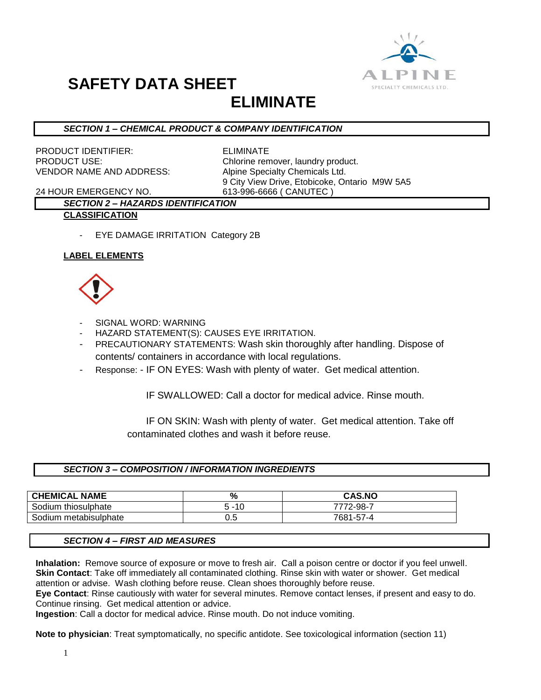

# **SAFETY DATA SHEET**

### **ELIMINATE**

#### *SECTION 1 – CHEMICAL PRODUCT & COMPANY IDENTIFICATION*

PRODUCT IDENTIFIER: ELIMINATE VENDOR NAME AND ADDRESS: Alpine Specialty Chemicals Ltd.

PRODUCT USE: Chlorine remover, laundry product. 9 City View Drive, Etobicoke, Ontario M9W 5A5

24 HOUR EMERGENCY NO. 613-996-6666 ( CANUTEC )

#### *SECTION 2 – HAZARDS IDENTIFICATION* **CLASSIFICATION**

- EYE DAMAGE IRRITATION Category 2B

#### **LABEL ELEMENTS**



- SIGNAL WORD: WARNING
- HAZARD STATEMENT(S): CAUSES EYE IRRITATION.
- PRECAUTIONARY STATEMENTS: Wash skin thoroughly after handling. Dispose of contents/ containers in accordance with local regulations.
- Response: IF ON EYES: Wash with plenty of water. Get medical attention.

IF SWALLOWED: Call a doctor for medical advice. Rinse mouth.

 IF ON SKIN: Wash with plenty of water. Get medical attention. Take off contaminated clothes and wash it before reuse.

#### *SECTION 3 – COMPOSITION / INFORMATION INGREDIENTS*

| <b>CHEMICAL NAME</b>  | %        | <b>CAS.NO</b> |
|-----------------------|----------|---------------|
| Sodium thiosulphate   | $5 - 10$ | 7772-98-7     |
| Sodium metabisulphate | v.J      | 7681-57-4     |

#### *SECTION 4 – FIRST AID MEASURES*

**Inhalation:** Remove source of exposure or move to fresh air. Call a poison centre or doctor if you feel unwell. **Skin Contact**: Take off immediately all contaminated clothing. Rinse skin with water or shower. Get medical attention or advise. Wash clothing before reuse. Clean shoes thoroughly before reuse.

**Eye Contact**: Rinse cautiously with water for several minutes. Remove contact lenses, if present and easy to do. Continue rinsing. Get medical attention or advice.

**Ingestion**: Call a doctor for medical advice. Rinse mouth. Do not induce vomiting.

**Note to physician**: Treat symptomatically, no specific antidote. See toxicological information (section 11)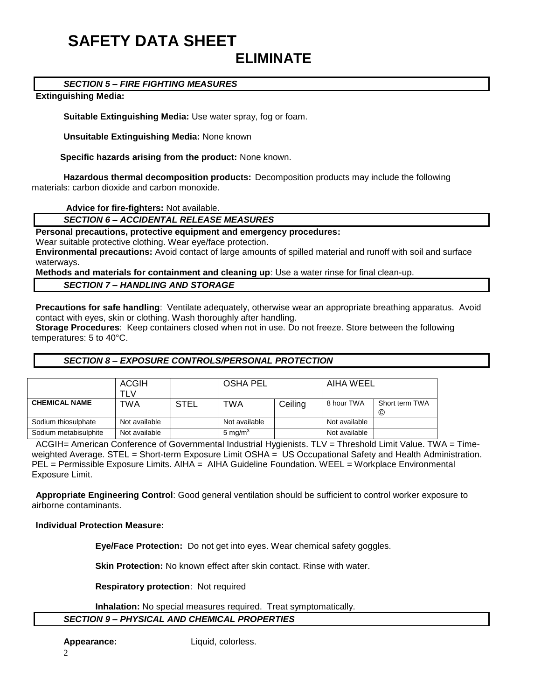## **SAFETY DATA SHEET ELIMINATE**

#### *SECTION 5 – FIRE FIGHTING MEASURES*

#### **Extinguishing Media:**

**Suitable Extinguishing Media:** Use water spray, fog or foam.

**Unsuitable Extinguishing Media:** None known

 **Specific hazards arising from the product:** None known.

**Hazardous thermal decomposition products:** Decomposition products may include the following materials: carbon dioxide and carbon monoxide.

**Advice for fire-fighters:** Not available.

*SECTION 6 – ACCIDENTAL RELEASE MEASURES*

**Personal precautions, protective equipment and emergency procedures:**

Wear suitable protective clothing. Wear eye/face protection.

**Environmental precautions:** Avoid contact of large amounts of spilled material and runoff with soil and surface waterways.

**Methods and materials for containment and cleaning up**: Use a water rinse for final clean-up.

#### *SECTION 7 – HANDLING AND STORAGE*

**Precautions for safe handling**: Ventilate adequately, otherwise wear an appropriate breathing apparatus. Avoid contact with eyes, skin or clothing. Wash thoroughly after handling.

**Storage Procedures**: Keep containers closed when not in use. Do not freeze. Store between the following temperatures: 5 to 40°C.

#### *SECTION 8 – EXPOSURE CONTROLS/PERSONAL PROTECTION*

|                       | <b>ACGIH</b><br>TLV |             | <b>OSHA PEL</b> |         | AIHA WEEL     |                     |
|-----------------------|---------------------|-------------|-----------------|---------|---------------|---------------------|
| <b>CHEMICAL NAME</b>  | TWA                 | <b>STEL</b> | TWA             | Ceiling | 8 hour TWA    | Short term TWA<br>© |
| Sodium thiosulphate   | Not available       |             | Not available   |         | Not available |                     |
| Sodium metabisulphite | Not available       |             | 5 mg/m $3$      |         | Not available |                     |

ACGIH= American Conference of Governmental Industrial Hygienists. TLV = Threshold Limit Value. TWA = Timeweighted Average. STEL = Short-term Exposure Limit OSHA = US Occupational Safety and Health Administration. PEL = Permissible Exposure Limits. AIHA = AIHA Guideline Foundation. WEEL = Workplace Environmental Exposure Limit.

**Appropriate Engineering Control**: Good general ventilation should be sufficient to control worker exposure to airborne contaminants.

#### **Individual Protection Measure:**

**Eye/Face Protection:** Do not get into eyes. Wear chemical safety goggles.

**Skin Protection:** No known effect after skin contact. Rinse with water.

**Respiratory protection**: Not required

**Inhalation:** No special measures required. Treat symptomatically.

#### *SECTION 9 – PHYSICAL AND CHEMICAL PROPERTIES*

**Appearance:** Liquid, colorless.

2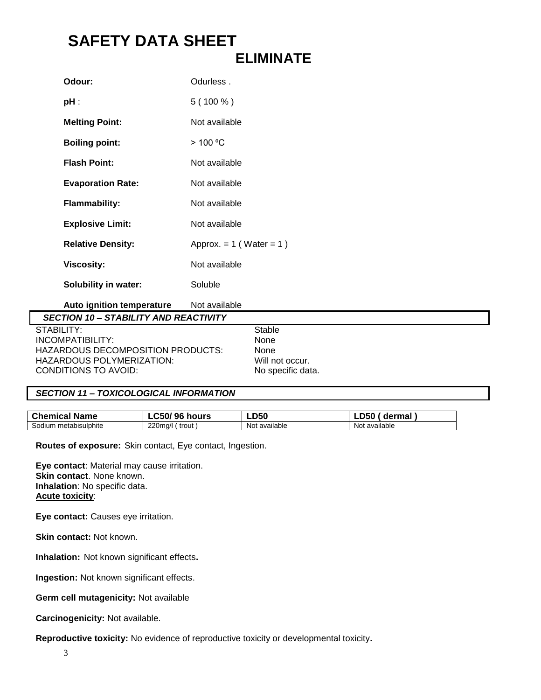## **SAFETY DATA SHEET ELIMINATE**

| Odurless.                    |
|------------------------------|
| $5(100\%)$                   |
| Not available                |
| $>$ 100 °C                   |
| Not available                |
| Not available                |
| Not available                |
| Not available                |
| Approx. $= 1$ (Water $= 1$ ) |
| Not available                |
| Soluble                      |
|                              |

**Auto ignition temperature** Not available

| <b>SECTION 10 - STABILITY AND REACTIVITY</b> |                   |
|----------------------------------------------|-------------------|
| STABILITY:                                   | Stable            |
| INCOMPATHILITY:                              | None              |
| HAZARDOUS DECOMPOSITION PRODUCTS:            | None              |
| HAZARDOUS POLYMERIZATION:                    | Will not occur.   |
| CONDITIONS TO AVOID:                         | No specific data. |

#### *SECTION 11 – TOXICOLOGICAL INFORMATION*

| <b>Chemical Name</b> | C50/96 ł<br>hours | <b>LD50</b>   | dermal<br>-LJJU |
|----------------------|-------------------|---------------|-----------------|
| metabisulphite       | 220mg/l           | Not available | .               |
| Sodium               | ∶ trout           |               | Not available   |

**Routes of exposure:** Skin contact, Eye contact, Ingestion.

**Eye contact**: Material may cause irritation. **Skin contact**. None known. **Inhalation**: No specific data. **Acute toxicity**:

**Eye contact:** Causes eye irritation.

**Skin contact:** Not known.

**Inhalation:** Not known significant effects**.**

**Ingestion:** Not known significant effects.

**Germ cell mutagenicity:** Not available

**Carcinogenicity:** Not available.

**Reproductive toxicity:** No evidence of reproductive toxicity or developmental toxicity**.**